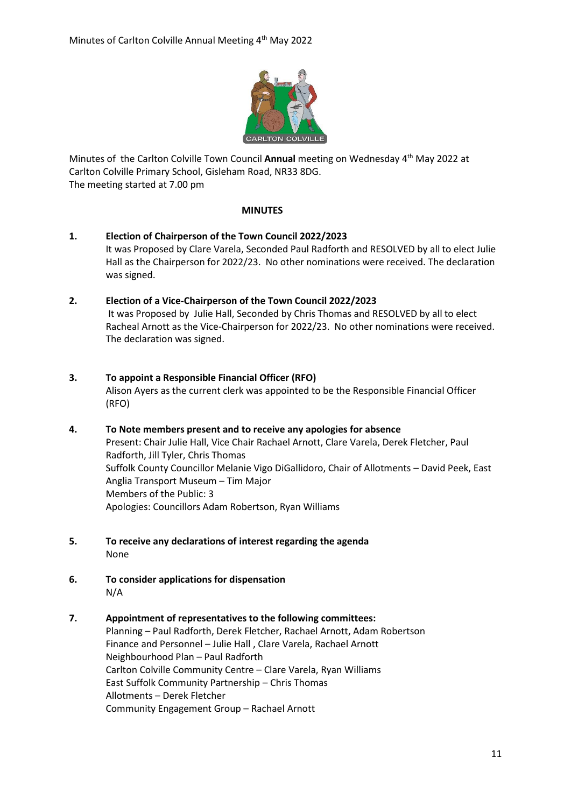

Minutes of the Carlton Colville Town Council Annual meeting on Wednesday 4<sup>th</sup> May 2022 at Carlton Colville Primary School, Gisleham Road, NR33 8DG. The meeting started at 7.00 pm

#### **MINUTES**

**1. Election of Chairperson of the Town Council 2022/2023** It was Proposed by Clare Varela, Seconded Paul Radforth and RESOLVED by all to elect Julie Hall as the Chairperson for 2022/23. No other nominations were received. The declaration was signed.

## **2. Election of a Vice-Chairperson of the Town Council 2022/2023**

It was Proposed by Julie Hall, Seconded by Chris Thomas and RESOLVED by all to elect Racheal Arnott as the Vice-Chairperson for 2022/23. No other nominations were received. The declaration was signed.

- **3. To appoint a Responsible Financial Officer (RFO)** Alison Ayers as the current clerk was appointed to be the Responsible Financial Officer (RFO)
- **4. To Note members present and to receive any apologies for absence**  Present: Chair Julie Hall, Vice Chair Rachael Arnott, Clare Varela, Derek Fletcher, Paul Radforth, Jill Tyler, Chris Thomas Suffolk County Councillor Melanie Vigo DiGallidoro, Chair of Allotments – David Peek, East Anglia Transport Museum – Tim Major Members of the Public: 3 Apologies: Councillors Adam Robertson, Ryan Williams
- **5. To receive any declarations of interest regarding the agenda** None
- **6. To consider applications for dispensation** N/A

## **7. Appointment of representatives to the following committees:**

Planning – Paul Radforth, Derek Fletcher, Rachael Arnott, Adam Robertson Finance and Personnel – Julie Hall , Clare Varela, Rachael Arnott Neighbourhood Plan – Paul Radforth Carlton Colville Community Centre – Clare Varela, Ryan Williams East Suffolk Community Partnership – Chris Thomas Allotments – Derek Fletcher Community Engagement Group – Rachael Arnott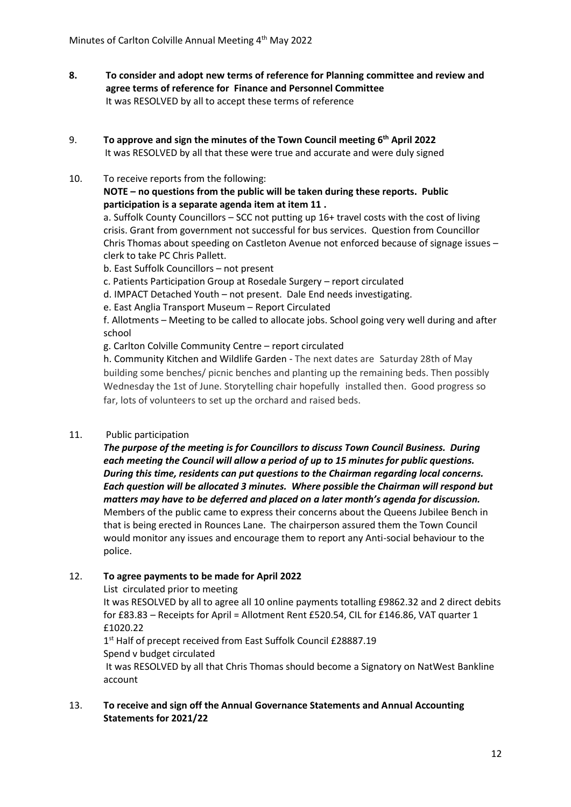- **8. To consider and adopt new terms of reference for Planning committee and review and agree terms of reference for Finance and Personnel Committee**  It was RESOLVED by all to accept these terms of reference
- 9. **To approve and sign the minutes of the Town Council meeting 6 th April 2022** It was RESOLVED by all that these were true and accurate and were duly signed
- 10. To receive reports from the following: **NOTE – no questions from the public will be taken during these reports. Public participation is a separate agenda item at item 11 .**

a. Suffolk County Councillors – SCC not putting up 16+ travel costs with the cost of living crisis. Grant from government not successful for bus services. Question from Councillor Chris Thomas about speeding on Castleton Avenue not enforced because of signage issues – clerk to take PC Chris Pallett.

- b. East Suffolk Councillors not present
- c. Patients Participation Group at Rosedale Surgery report circulated
- d. IMPACT Detached Youth not present. Dale End needs investigating.
- e. East Anglia Transport Museum Report Circulated

f. Allotments – Meeting to be called to allocate jobs. School going very well during and after school

g. Carlton Colville Community Centre – report circulated

h. Community Kitchen and Wildlife Garden - The next dates are Saturday 28th of May building some benches/ picnic benches and planting up the remaining beds. Then possibly Wednesday the 1st of June. Storytelling chair hopefully installed then. Good progress so far, lots of volunteers to set up the orchard and raised beds.

# 11. Public participation

*The purpose of the meeting is for Councillors to discuss Town Council Business. During each meeting the Council will allow a period of up to 15 minutes for public questions. During this time, residents can put questions to the Chairman regarding local concerns. Each question will be allocated 3 minutes. Where possible the Chairman will respond but matters may have to be deferred and placed on a later month's agenda for discussion.* Members of the public came to express their concerns about the Queens Jubilee Bench in that is being erected in Rounces Lane. The chairperson assured them the Town Council would monitor any issues and encourage them to report any Anti-social behaviour to the police.

# 12. **To agree payments to be made for April 2022**

List circulated prior to meeting

It was RESOLVED by all to agree all 10 online payments totalling £9862.32 and 2 direct debits for £83.83 – Receipts for April = Allotment Rent £520.54, CIL for £146.86, VAT quarter 1 £1020.22

1<sup>st</sup> Half of precept received from East Suffolk Council £28887.19 Spend v budget circulated It was RESOLVED by all that Chris Thomas should become a Signatory on NatWest Bankline account

13. **To receive and sign off the Annual Governance Statements and Annual Accounting Statements for 2021/22**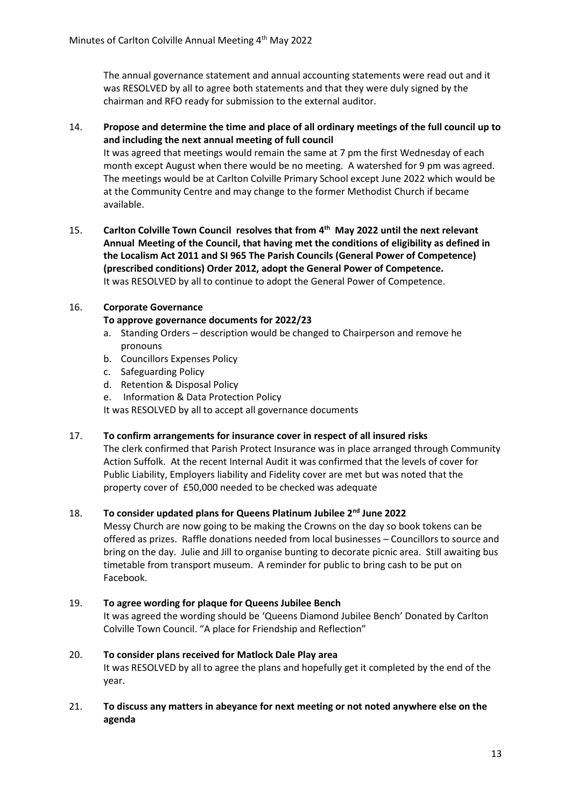The annual governance statement and annual accounting statements were read out and it was RESOLVED by all to agree both statements and that they were duly signed by the chairman and RFO ready for submission to the external auditor.

## 14. **Propose and determine the time and place of all ordinary meetings of the full council up to and including the next annual meeting of full council**

It was agreed that meetings would remain the same at 7 pm the first Wednesday of each month except August when there would be no meeting. A watershed for 9 pm was agreed. The meetings would be at Carlton Colville Primary School except June 2022 which would be at the Community Centre and may change to the former Methodist Church if became available.

15. Carlton Colville Town Council resolves that from 4<sup>th</sup> May 2022 until the next relevant **Annual Meeting of the Council, that having met the conditions of eligibility as defined in the Localism Act 2011 and SI 965 The Parish Councils (General Power of Competence) (prescribed conditions) Order 2012, adopt the General Power of Competence.**  It was RESOLVED by all to continue to adopt the General Power of Competence.

## 16. **Corporate Governance**

## **To approve governance documents for 2022/23**

- a. Standing Orders description would be changed to Chairperson and remove he pronouns
- b. Councillors Expenses Policy
- c. Safeguarding Policy
- d. Retention & Disposal Policy
- e. Information & Data Protection Policy

It was RESOLVED by all to accept all governance documents

17. **To confirm arrangements for insurance cover in respect of all insured risks**

The clerk confirmed that Parish Protect Insurance was in place arranged through Community Action Suffolk. At the recent Internal Audit it was confirmed that the levels of cover for Public Liability, Employers liability and Fidelity cover are met but was noted that the property cover of £50,000 needed to be checked was adequate

#### 18. **To consider updated plans for Queens Platinum Jubilee 2nd June 2022**

Messy Church are now going to be making the Crowns on the day so book tokens can be offered as prizes. Raffle donations needed from local businesses – Councillors to source and bring on the day. Julie and Jill to organise bunting to decorate picnic area. Still awaiting bus timetable from transport museum. A reminder for public to bring cash to be put on Facebook.

#### 19. **To agree wording for plaque for Queens Jubilee Bench**

It was agreed the wording should be 'Queens Diamond Jubilee Bench' Donated by Carlton Colville Town Council. "A place for Friendship and Reflection"

## 20. **To consider plans received for Matlock Dale Play area**  It was RESOLVED by all to agree the plans and hopefully get it completed by the end of the year.

21. **To discuss any matters in abeyance for next meeting or not noted anywhere else on the agenda**